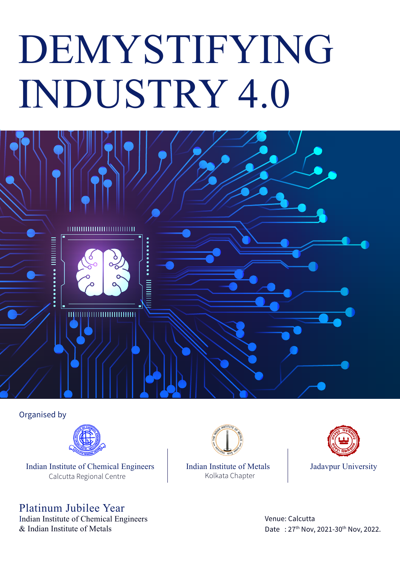# DEMYSTIFYING INDUSTRY 4.0



Organised by



Indian Institute of Chemical Engineers | Indian Institute of Metals | Jadavpur University Calcutta Regional Centre

## Platinum Jubilee Year

Indian Institute of Chemical Engineers & Indian Ins titute of Metals



Indian Institute of Metals Kolkata Chapter



Venue: Calcutta Date: 27<sup>th</sup> Nov, 2021-30<sup>th</sup> Nov, 2022.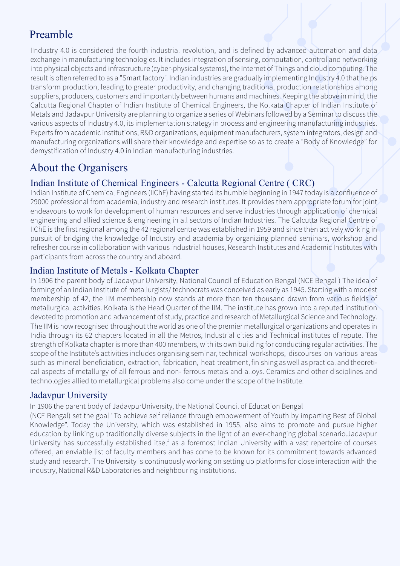## Preamble

IIndustry 4.0 is considered the fourth industrial revolution, and is defined by advanced automation and data exchange in manufacturing technologies. It includes integration of sensing, computation, control and networking into physical objects and infrastructure (cyber-physical systems), the Internet of Things and cloud computing. The result is often referred to as a "Smart factory". Indian industries are gradually implementing Industry 4.0 that helps transform production, leading to greater productivity, and changing traditional production relationships among suppliers, producers, customers and importantly between humans and machines. Keeping the above in mind, the Calcutta Regional Chapter of Indian Institute of Chemical Engineers, the Kolkata Chapter of Indian Institute of Metals and Jadavpur University are planning to organize a series of Webinars followed by a Seminar to discuss the various aspects of Industry 4.0, its implementation strategy in process and engineering manufacturing industries. Experts from academic institutions, R&D organizations, equipment manufacturers, system integrators, design and manufacturing organizations will share their knowledge and expertise so as to create a "Body of Knowledge" for demystification of Industry 4.0 in Indian manufacturing industries.

### About the Organisers

#### Indian Ins titute of Chemical Engineers - Calcutta Regional Centre ( CRC)

Indian Institute of Chemical Engineers (IIChE) having started its humble beginning in 1947 today is a confluence of 29000 professional from academia, industry and research institutes. It provides them appropriate forum for joint endeavours to work for development of human resources and serve industries through application of chemical engineering and allied science & engineering in all sectors of Indian Industries. The Calcutta Regional Centre of IIChE is the first regional among the 42 regional centre was established in 1959 and since then actively working in pursuit of bridging the knowledge of Industry and academia by organizing planned seminars, workshop and refresher course in collaboration with various industrial houses, Research Institutes and Academic Institutes with participants from across the country and aboard.

#### Indian Institute of Metals - Kolkata Chapter

In 1906 the parent body of Jadavpur University, National Council of Education Bengal (NCE Bengal ) The idea of forming of an Indian Institute of metallurgists/ technocrats was conceived as early as 1945. Starting with a modest membership of 42, the IIM membership now stands at more than ten thousand drawn from various fields of metallurgical activities. Kolkata is the Head Quarter of the IIM. The institute has grown into a reputed institution devoted to promotion and advancement of study, practice and research of Metallurgical Science and Technology. The IIM is now recognised throughout the world as one of the premier metallurgical organizations and operates in India through its 62 chapters located in all the Metros, Industrial cities and Technical institutes of repute. The strength of Kolkata chapter is more than 400 members, with its own building for conducting regular activities. The scope of the Institute's activities includes organising seminar, technical workshops, discourses on various areas such as mineral beneficiation, extraction, fabrication, heat treatment, finishing as well as practical and theoretical aspects of metallurgy of all ferrous and non- ferrous metals and alloys. Ceramics and other disciplines and technologies allied to metallurgical problems also come under the scope of the Institute.

#### Jadavpur University

In 1906 the parent body of JadavpurUniversity, the National Council of Education Bengal

(NCE Bengal) set the goal "To achieve self reliance through empowerment of Youth by imparting Best of Global Knowledge". Today the University, which was established in 1955, also aims to promote and pursue higher education by linking up traditionally diverse subjects in the light of an ever-changing global scenario.Jadavpur University has successfully established itself as a foremost Indian University with a vast repertoire of courses offered, an enviable list of faculty members and has come to be known for its commitment towards advanced study and research. The University is continuously working on setting up platforms for close interaction with the industry, National R&D Laboratories and neighbouring institutions.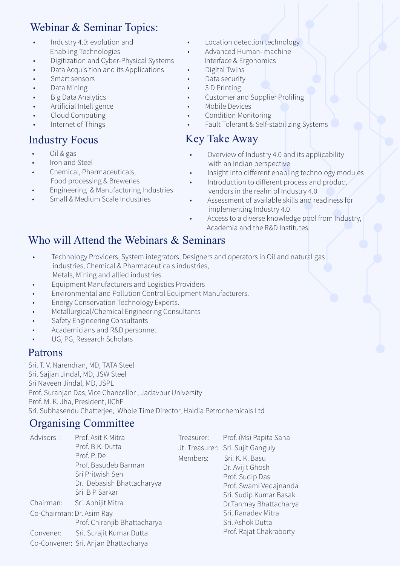## Webinar & Seminar Topics:

- Industry 4.0: evolution and Enabling Technologies
- Digitization and Cyber-Physical Systems
- Data Acquisition and its Applications
- Smart sensors
- Data Mining
- Big Data Analytics
- Artificial Intelligence
- Cloud Computing
- Internet of Things

- Oil & gas
- Iron and Steel
- Chemical, Pharmaceuticals, Food processing & Breweries
- Engineering & Manufacturing Industries
- Small & Medium Scale Industries
- Location detection technology
- Advanced Human- machine Interface & Ergonomics
- Digital Twins
- Data security
- 3 D Printing
- Customer and Supplier Profiling
- Mobile Devices
- Condition Monitoring
- Fault Tolerant & Self-stabilizing Systems

## Industry Focus Key Take Away

- Overview of Industry 4.0 and its applicability with an Indian perspective
- Insight into different enabling technology modules
- Introduction to different process and product vendors in the realm of Industry 4.0
- Assessment of available skills and readiness for implementing Industry 4.0
- Access to a diverse knowledge pool from Industry, Academia and the R&D Institutes.

## Who will Attend the Webinars & Seminars

- Technology Providers, System integrators, Designers and operators in Oil and natural gas industries, Chemical & Pharmaceuticals industries, Metals, Mining and allied industries
- Equipment Manufacturers and Logistics Providers
- Environmental and Pollution Control Equipment Manufacturers.
- Energy Conservation Technology Experts.
- Metallurgical/Chemical Engineering Consultants
- Safety Engineering Consultants
- Academicians and R&D personnel.
- UG, PG, Research Scholars

#### Patrons

Sri. T. V. Narendran, MD, TATA Steel Sri. Sajjan Jindal, MD, JSW Steel Sri Naveen Jindal, MD, JSPL Prof. Suranjan Das, Vice Chancellor , Jadavpur University Prof. M. K. Jha, President, IIChE Sri. Subhasendu Chatterjee, Whole Time Director, Haldia Petrochemicals Ltd

#### Organising Committee

| Advisors:<br>Chairman:<br>Co-Chairman: Dr. Asim Ray | Prof. Asit K Mitra<br>Prof. B.K. Dutta<br>Prof. P. De<br>Prof. Basudeb Barman<br>Sri Pritwish Sen<br>Dr. Debasish Bhattacharyya<br>Sri BP Sarkar<br>Sri. Abhijit Mitra | Treasurer:<br>Members: | Prof. (Ms) Papita Saha<br>Jt. Treasurer: Sri. Sujit Ganguly<br>Sri, K. K. Basu<br>Dr. Avijit Ghosh<br>Prof. Sudip Das<br>Prof. Swami Vedajnanda<br>Sri. Sudip Kumar Basak<br>Dr.Tanmay Bhattacharya<br>Sri. Ranadev Mitra |
|-----------------------------------------------------|------------------------------------------------------------------------------------------------------------------------------------------------------------------------|------------------------|---------------------------------------------------------------------------------------------------------------------------------------------------------------------------------------------------------------------------|
|                                                     | Prof. Chiranjib Bhattacharya                                                                                                                                           |                        | Sri. Ashok Dutta                                                                                                                                                                                                          |
| Convener:                                           | Sri. Surajit Kumar Dutta                                                                                                                                               |                        | Prof. Rajat Chakraborty                                                                                                                                                                                                   |
|                                                     | Co-Convener: Sri. Anjan Bhattacharya                                                                                                                                   |                        |                                                                                                                                                                                                                           |